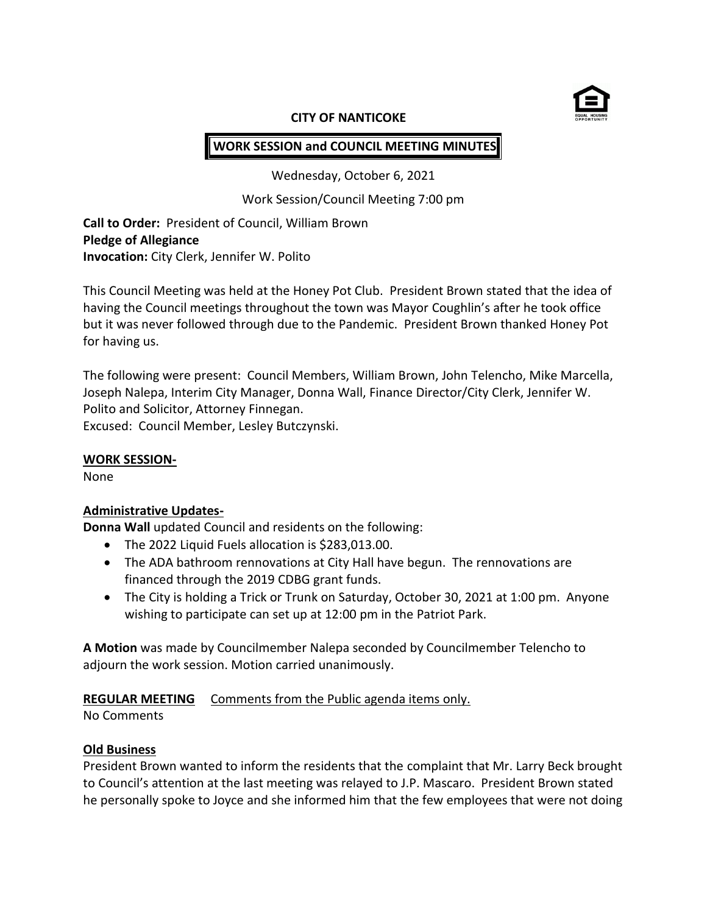

#### **CITY OF NANTICOKE**

# **WORK SESSION and COUNCIL MEETING MINUTES**

Wednesday, October 6, 2021

Work Session/Council Meeting 7:00 pm

**Call to Order:** President of Council, William Brown **Pledge of Allegiance Invocation:** City Clerk, Jennifer W. Polito

This Council Meeting was held at the Honey Pot Club. President Brown stated that the idea of having the Council meetings throughout the town was Mayor Coughlin's after he took office but it was never followed through due to the Pandemic. President Brown thanked Honey Pot for having us.

The following were present: Council Members, William Brown, John Telencho, Mike Marcella, Joseph Nalepa, Interim City Manager, Donna Wall, Finance Director/City Clerk, Jennifer W. Polito and Solicitor, Attorney Finnegan. Excused: Council Member, Lesley Butczynski.

#### **WORK SESSION-**

None

### **Administrative Updates-**

**Donna Wall** updated Council and residents on the following:

- The 2022 Liquid Fuels allocation is \$283,013.00.
- The ADA bathroom rennovations at City Hall have begun. The rennovations are financed through the 2019 CDBG grant funds.
- The City is holding a Trick or Trunk on Saturday, October 30, 2021 at 1:00 pm. Anyone wishing to participate can set up at 12:00 pm in the Patriot Park.

**A Motion** was made by Councilmember Nalepa seconded by Councilmember Telencho to adjourn the work session. Motion carried unanimously.

### **REGULAR MEETING** Comments from the Public agenda items only.

No Comments

### **Old Business**

President Brown wanted to inform the residents that the complaint that Mr. Larry Beck brought to Council's attention at the last meeting was relayed to J.P. Mascaro. President Brown stated he personally spoke to Joyce and she informed him that the few employees that were not doing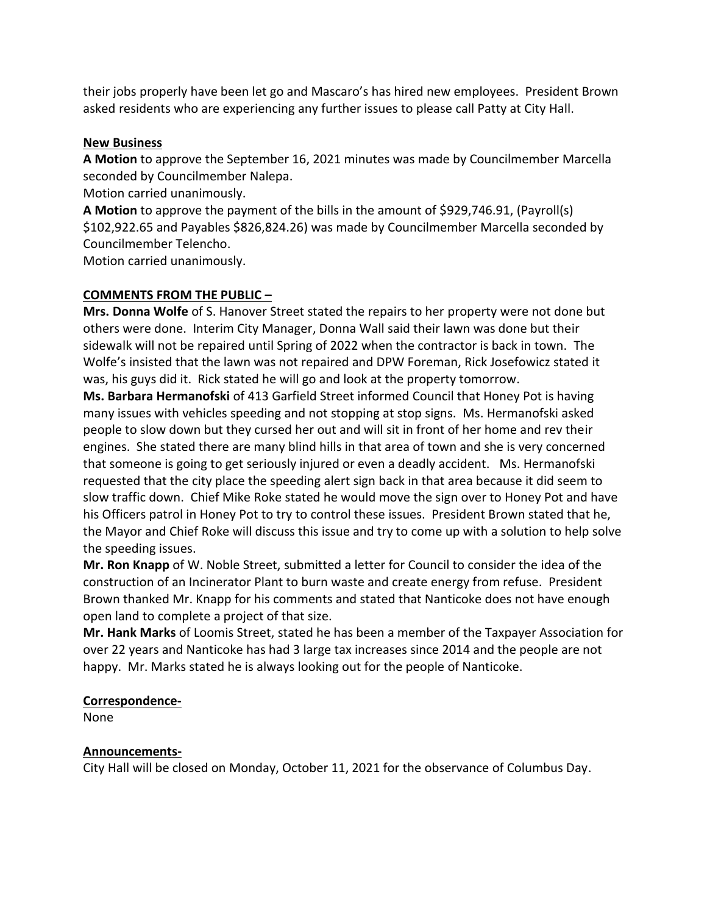their jobs properly have been let go and Mascaro's has hired new employees. President Brown asked residents who are experiencing any further issues to please call Patty at City Hall.

### **New Business**

**A Motion** to approve the September 16, 2021 minutes was made by Councilmember Marcella seconded by Councilmember Nalepa.

Motion carried unanimously.

**A Motion** to approve the payment of the bills in the amount of \$929,746.91, (Payroll(s) \$102,922.65 and Payables \$826,824.26) was made by Councilmember Marcella seconded by Councilmember Telencho.

Motion carried unanimously.

## **COMMENTS FROM THE PUBLIC –**

**Mrs. Donna Wolfe** of S. Hanover Street stated the repairs to her property were not done but others were done. Interim City Manager, Donna Wall said their lawn was done but their sidewalk will not be repaired until Spring of 2022 when the contractor is back in town. The Wolfe's insisted that the lawn was not repaired and DPW Foreman, Rick Josefowicz stated it was, his guys did it. Rick stated he will go and look at the property tomorrow.

**Ms. Barbara Hermanofski** of 413 Garfield Street informed Council that Honey Pot is having many issues with vehicles speeding and not stopping at stop signs. Ms. Hermanofski asked people to slow down but they cursed her out and will sit in front of her home and rev their engines. She stated there are many blind hills in that area of town and she is very concerned that someone is going to get seriously injured or even a deadly accident. Ms. Hermanofski requested that the city place the speeding alert sign back in that area because it did seem to slow traffic down. Chief Mike Roke stated he would move the sign over to Honey Pot and have his Officers patrol in Honey Pot to try to control these issues. President Brown stated that he, the Mayor and Chief Roke will discuss this issue and try to come up with a solution to help solve the speeding issues.

**Mr. Ron Knapp** of W. Noble Street, submitted a letter for Council to consider the idea of the construction of an Incinerator Plant to burn waste and create energy from refuse. President Brown thanked Mr. Knapp for his comments and stated that Nanticoke does not have enough open land to complete a project of that size.

**Mr. Hank Marks** of Loomis Street, stated he has been a member of the Taxpayer Association for over 22 years and Nanticoke has had 3 large tax increases since 2014 and the people are not happy. Mr. Marks stated he is always looking out for the people of Nanticoke.

### **Correspondence-**

None

### **Announcements-**

City Hall will be closed on Monday, October 11, 2021 for the observance of Columbus Day.